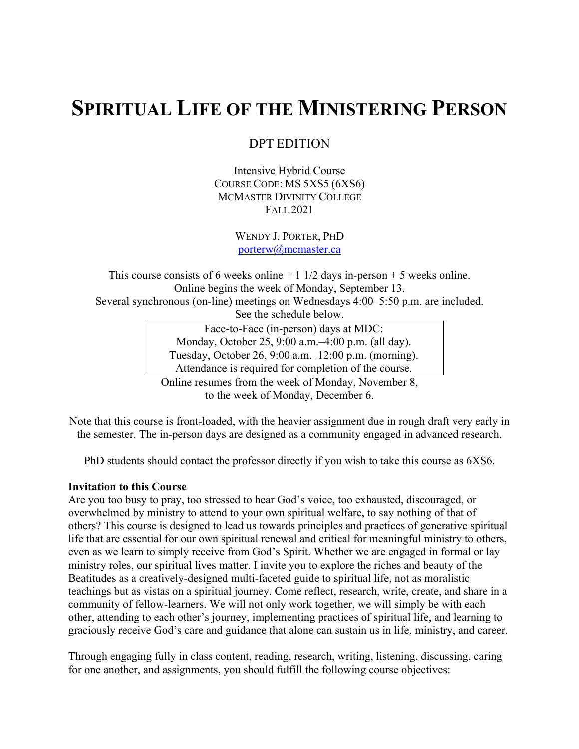# **SPIRITUAL LIFE OF THE MINISTERING PERSON**

DPT EDITION

Intensive Hybrid Course COURSE CODE: MS 5XS5 (6XS6) MCMASTER DIVINITY COLLEGE FALL 2021

> WENDY J. PORTER, PHD porterw@mcmaster.ca

This course consists of 6 weeks online  $+ 1 \frac{1}{2}$  days in-person  $+ 5$  weeks online. Online begins the week of Monday, September 13. Several synchronous (on-line) meetings on Wednesdays 4:00–5:50 p.m. are included. See the schedule below. Face-to-Face (in-person) days at MDC: Monday, October 25, 9:00 a.m.–4:00 p.m. (all day). Tuesday, October 26, 9:00 a.m.–12:00 p.m. (morning). Attendance is required for completion of the course.

Online resumes from the week of Monday, November 8, to the week of Monday, December 6.

Note that this course is front-loaded, with the heavier assignment due in rough draft very early in the semester. The in-person days are designed as a community engaged in advanced research.

PhD students should contact the professor directly if you wish to take this course as 6XS6.

### **Invitation to this Course**

Are you too busy to pray, too stressed to hear God's voice, too exhausted, discouraged, or overwhelmed by ministry to attend to your own spiritual welfare, to say nothing of that of others? This course is designed to lead us towards principles and practices of generative spiritual life that are essential for our own spiritual renewal and critical for meaningful ministry to others, even as we learn to simply receive from God's Spirit. Whether we are engaged in formal or lay ministry roles, our spiritual lives matter. I invite you to explore the riches and beauty of the Beatitudes as a creatively-designed multi-faceted guide to spiritual life, not as moralistic teachings but as vistas on a spiritual journey. Come reflect, research, write, create, and share in a community of fellow-learners. We will not only work together, we will simply be with each other, attending to each other's journey, implementing practices of spiritual life, and learning to graciously receive God's care and guidance that alone can sustain us in life, ministry, and career.

Through engaging fully in class content, reading, research, writing, listening, discussing, caring for one another, and assignments, you should fulfill the following course objectives: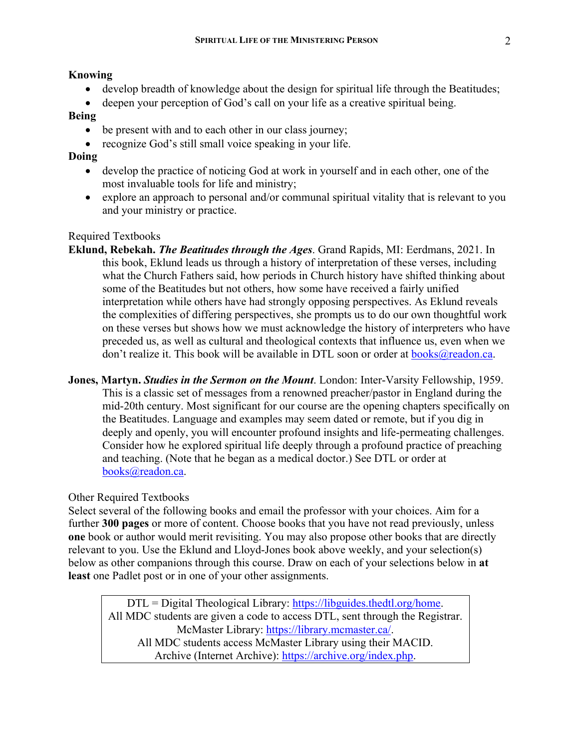#### **Knowing**

- develop breadth of knowledge about the design for spiritual life through the Beatitudes;
- deepen your perception of God's call on your life as a creative spiritual being.

## **Being**

- be present with and to each other in our class journey;
- recognize God's still small voice speaking in your life.

## **Doing**

- develop the practice of noticing God at work in yourself and in each other, one of the most invaluable tools for life and ministry;
- explore an approach to personal and/or communal spiritual vitality that is relevant to you and your ministry or practice.

### Required Textbooks

- **Eklund, Rebekah.** *The Beatitudes through the Ages*. Grand Rapids, MI: Eerdmans, 2021. In this book, Eklund leads us through a history of interpretation of these verses, including what the Church Fathers said, how periods in Church history have shifted thinking about some of the Beatitudes but not others, how some have received a fairly unified interpretation while others have had strongly opposing perspectives. As Eklund reveals the complexities of differing perspectives, she prompts us to do our own thoughtful work on these verses but shows how we must acknowledge the history of interpreters who have preceded us, as well as cultural and theological contexts that influence us, even when we don't realize it. This book will be available in DTL soon or order at  $books@readon.ca.$
- **Jones, Martyn.** *Studies in the Sermon on the Mount*. London: Inter-Varsity Fellowship, 1959. This is a classic set of messages from a renowned preacher/pastor in England during the mid-20th century. Most significant for our course are the opening chapters specifically on the Beatitudes. Language and examples may seem dated or remote, but if you dig in deeply and openly, you will encounter profound insights and life-permeating challenges. Consider how he explored spiritual life deeply through a profound practice of preaching and teaching. (Note that he began as a medical doctor.) See DTL or order at books@readon.ca.

#### Other Required Textbooks

Select several of the following books and email the professor with your choices. Aim for a further **300 pages** or more of content. Choose books that you have not read previously, unless **one** book or author would merit revisiting. You may also propose other books that are directly relevant to you. Use the Eklund and Lloyd-Jones book above weekly, and your selection(s) below as other companions through this course. Draw on each of your selections below in **at least** one Padlet post or in one of your other assignments.

DTL = Digital Theological Library: https://libguides.thedtl.org/home. All MDC students are given a code to access DTL, sent through the Registrar. McMaster Library: https://library.mcmaster.ca/. All MDC students access McMaster Library using their MACID. Archive (Internet Archive): https://archive.org/index.php.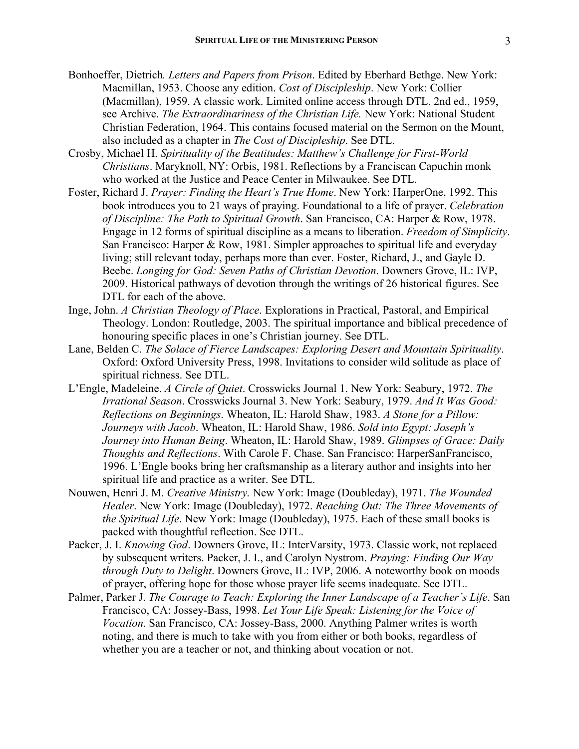- Bonhoeffer, Dietrich*. Letters and Papers from Prison*. Edited by Eberhard Bethge. New York: Macmillan, 1953. Choose any edition. *Cost of Discipleship*. New York: Collier (Macmillan), 1959. A classic work. Limited online access through DTL. 2nd ed., 1959, see Archive. *The Extraordinariness of the Christian Life.* New York: National Student Christian Federation, 1964. This contains focused material on the Sermon on the Mount, also included as a chapter in *The Cost of Discipleship*. See DTL.
- Crosby, Michael H. *Spirituality of the Beatitudes: Matthew's Challenge for First-World Christians*. Maryknoll, NY: Orbis, 1981. Reflections by a Franciscan Capuchin monk who worked at the Justice and Peace Center in Milwaukee. See DTL.
- Foster, Richard J. *Prayer: Finding the Heart's True Home*. New York: HarperOne, 1992. This book introduces you to 21 ways of praying. Foundational to a life of prayer. *Celebration of Discipline: The Path to Spiritual Growth*. San Francisco, CA: Harper & Row, 1978. Engage in 12 forms of spiritual discipline as a means to liberation. *Freedom of Simplicity*. San Francisco: Harper & Row, 1981. Simpler approaches to spiritual life and everyday living; still relevant today, perhaps more than ever. Foster, Richard, J., and Gayle D. Beebe. *Longing for God: Seven Paths of Christian Devotion*. Downers Grove, IL: IVP, 2009. Historical pathways of devotion through the writings of 26 historical figures. See DTL for each of the above.
- Inge, John. *A Christian Theology of Place*. Explorations in Practical, Pastoral, and Empirical Theology. London: Routledge, 2003. The spiritual importance and biblical precedence of honouring specific places in one's Christian journey. See DTL.
- Lane, Belden C. *The Solace of Fierce Landscapes: Exploring Desert and Mountain Spirituality*. Oxford: Oxford University Press, 1998. Invitations to consider wild solitude as place of spiritual richness. See DTL.
- L'Engle, Madeleine. *A Circle of Quiet*. Crosswicks Journal 1. New York: Seabury, 1972. *The Irrational Season*. Crosswicks Journal 3. New York: Seabury, 1979. *And It Was Good: Reflections on Beginnings*. Wheaton, IL: Harold Shaw, 1983. *A Stone for a Pillow: Journeys with Jacob*. Wheaton, IL: Harold Shaw, 1986. *Sold into Egypt: Joseph's Journey into Human Being*. Wheaton, IL: Harold Shaw, 1989. *Glimpses of Grace: Daily Thoughts and Reflections*. With Carole F. Chase. San Francisco: HarperSanFrancisco, 1996. L'Engle books bring her craftsmanship as a literary author and insights into her spiritual life and practice as a writer. See DTL.
- Nouwen, Henri J. M. *Creative Ministry.* New York: Image (Doubleday), 1971. *The Wounded Healer*. New York: Image (Doubleday), 1972. *Reaching Out: The Three Movements of the Spiritual Life*. New York: Image (Doubleday), 1975. Each of these small books is packed with thoughtful reflection. See DTL.
- Packer, J. I. *Knowing God*. Downers Grove, IL: InterVarsity, 1973. Classic work, not replaced by subsequent writers. Packer, J. I., and Carolyn Nystrom. *Praying: Finding Our Way through Duty to Delight*. Downers Grove, IL: IVP, 2006. A noteworthy book on moods of prayer, offering hope for those whose prayer life seems inadequate. See DTL.
- Palmer, Parker J. *The Courage to Teach: Exploring the Inner Landscape of a Teacher's Life*. San Francisco, CA: Jossey-Bass, 1998. *Let Your Life Speak: Listening for the Voice of Vocation*. San Francisco, CA: Jossey-Bass, 2000. Anything Palmer writes is worth noting, and there is much to take with you from either or both books, regardless of whether you are a teacher or not, and thinking about vocation or not.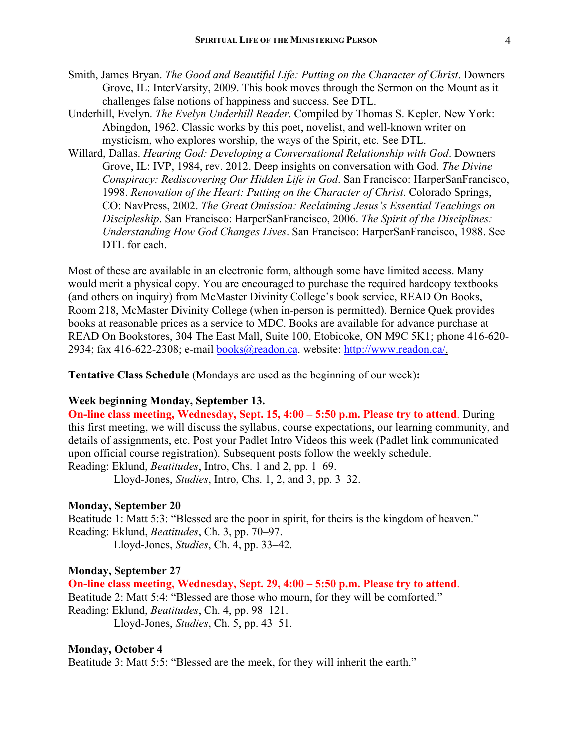- 
- Smith, James Bryan. *The Good and Beautiful Life: Putting on the Character of Christ*. Downers Grove, IL: InterVarsity, 2009. This book moves through the Sermon on the Mount as it challenges false notions of happiness and success. See DTL.
- Underhill, Evelyn. *The Evelyn Underhill Reader*. Compiled by Thomas S. Kepler. New York: Abingdon, 1962. Classic works by this poet, novelist, and well-known writer on mysticism, who explores worship, the ways of the Spirit, etc. See DTL.
- Willard, Dallas. *Hearing God: Developing a Conversational Relationship with God*. Downers Grove, IL: IVP, 1984, rev. 2012. Deep insights on conversation with God. *The Divine Conspiracy: Rediscovering Our Hidden Life in God*. San Francisco: HarperSanFrancisco, 1998. *Renovation of the Heart: Putting on the Character of Christ*. Colorado Springs, CO: NavPress, 2002. *The Great Omission: Reclaiming Jesus's Essential Teachings on Discipleship*. San Francisco: HarperSanFrancisco, 2006. *The Spirit of the Disciplines: Understanding How God Changes Lives*. San Francisco: HarperSanFrancisco, 1988. See DTL for each.

Most of these are available in an electronic form, although some have limited access. Many would merit a physical copy. You are encouraged to purchase the required hardcopy textbooks (and others on inquiry) from McMaster Divinity College's book service, READ On Books, Room 218, McMaster Divinity College (when in-person is permitted). Bernice Quek provides books at reasonable prices as a service to MDC. Books are available for advance purchase at READ On Bookstores, 304 The East Mall, Suite 100, Etobicoke, ON M9C 5K1; phone 416-620- 2934; fax 416-622-2308; e-mail books@readon.ca. website: http://www.readon.ca/.

**Tentative Class Schedule** (Mondays are used as the beginning of our week)**:**

## **Week beginning Monday, September 13.**

**On-line class meeting, Wednesday, Sept. 15, 4:00 – 5:50 p.m. Please try to attend**. During this first meeting, we will discuss the syllabus, course expectations, our learning community, and details of assignments, etc. Post your Padlet Intro Videos this week (Padlet link communicated upon official course registration). Subsequent posts follow the weekly schedule. Reading: Eklund, *Beatitudes*, Intro, Chs. 1 and 2, pp. 1–69.

Lloyd-Jones, *Studies*, Intro, Chs. 1, 2, and 3, pp. 3–32.

#### **Monday, September 20**

Beatitude 1: Matt 5:3: "Blessed are the poor in spirit, for theirs is the kingdom of heaven." Reading: Eklund, *Beatitudes*, Ch. 3, pp. 70–97. Lloyd-Jones, *Studies*, Ch. 4, pp. 33–42.

#### **Monday, September 27**

**On-line class meeting, Wednesday, Sept. 29, 4:00 – 5:50 p.m. Please try to attend**. Beatitude 2: Matt 5:4: "Blessed are those who mourn, for they will be comforted." Reading: Eklund, *Beatitudes*, Ch. 4, pp. 98–121. Lloyd-Jones, *Studies*, Ch. 5, pp. 43–51.

#### **Monday, October 4**

Beatitude 3: Matt 5:5: "Blessed are the meek, for they will inherit the earth."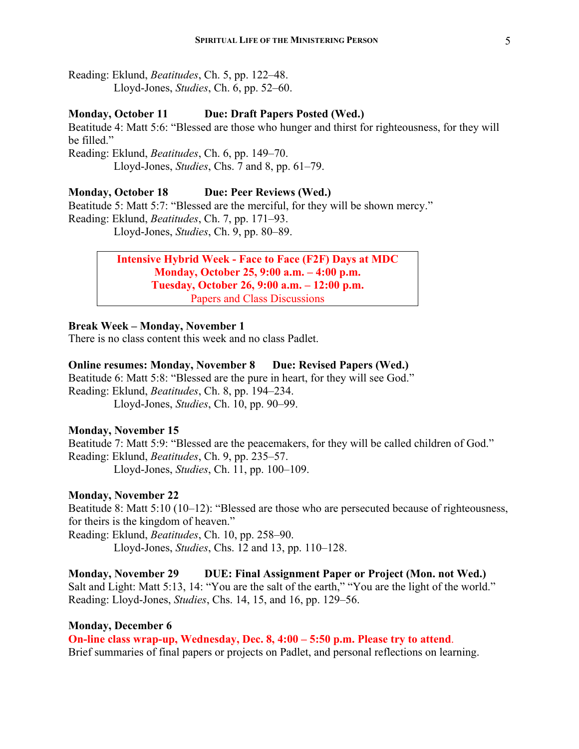Reading: Eklund, *Beatitudes*, Ch. 5, pp. 122–48. Lloyd-Jones, *Studies*, Ch. 6, pp. 52–60.

## **Monday, October 11 Due: Draft Papers Posted (Wed.)**

Beatitude 4: Matt 5:6: "Blessed are those who hunger and thirst for righteousness, for they will be filled."

Reading: Eklund, *Beatitudes*, Ch. 6, pp. 149–70. Lloyd-Jones, *Studies*, Chs. 7 and 8, pp. 61–79.

#### **Monday, October 18 Due: Peer Reviews (Wed.)**

Beatitude 5: Matt 5:7: "Blessed are the merciful, for they will be shown mercy." Reading: Eklund, *Beatitudes*, Ch. 7, pp. 171–93. Lloyd-Jones, *Studies*, Ch. 9, pp. 80–89.

# **Intensive Hybrid Week - Face to Face (F2F) Days at MDC Monday, October 25, 9:00 a.m. – 4:00 p.m. Tuesday, October 26, 9:00 a.m. – 12:00 p.m.** Papers and Class Discussions

#### **Break Week – Monday, November 1**

There is no class content this week and no class Padlet.

#### **Online resumes: Monday, November 8 Due: Revised Papers (Wed.)**

Beatitude 6: Matt 5:8: "Blessed are the pure in heart, for they will see God." Reading: Eklund, *Beatitudes*, Ch. 8, pp. 194–234. Lloyd-Jones, *Studies*, Ch. 10, pp. 90–99.

#### **Monday, November 15**

Beatitude 7: Matt 5:9: "Blessed are the peacemakers, for they will be called children of God." Reading: Eklund, *Beatitudes*, Ch. 9, pp. 235–57. Lloyd-Jones, *Studies*, Ch. 11, pp. 100–109.

## **Monday, November 22**

Beatitude 8: Matt 5:10 (10–12): "Blessed are those who are persecuted because of righteousness, for theirs is the kingdom of heaven."

Reading: Eklund, *Beatitudes*, Ch. 10, pp. 258–90. Lloyd-Jones, *Studies*, Chs. 12 and 13, pp. 110–128.

# **Monday, November 29 DUE: Final Assignment Paper or Project (Mon. not Wed.)**

Salt and Light: Matt 5:13, 14: "You are the salt of the earth," "You are the light of the world." Reading: Lloyd-Jones, *Studies*, Chs. 14, 15, and 16, pp. 129–56.

#### **Monday, December 6**

**On-line class wrap-up, Wednesday, Dec. 8, 4:00 – 5:50 p.m. Please try to attend**. Brief summaries of final papers or projects on Padlet, and personal reflections on learning.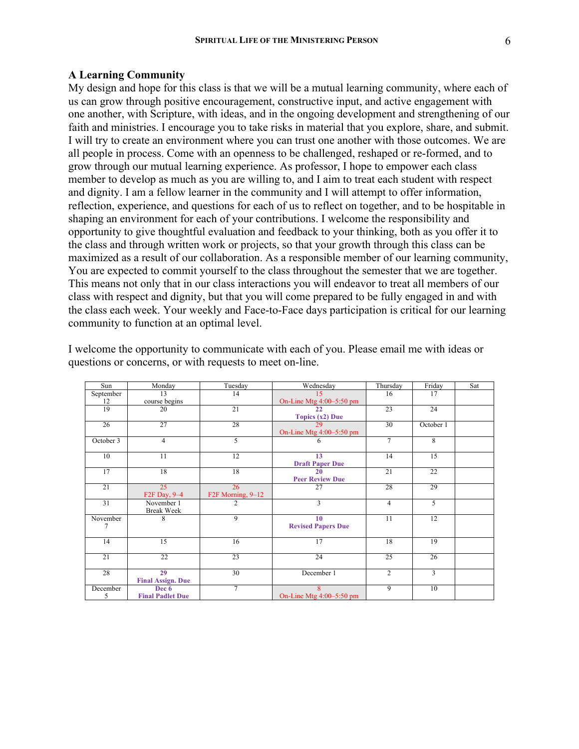My design and hope for this class is that we will be a mutual learning community, where each of us can grow through positive encouragement, constructive input, and active engagement with one another, with Scripture, with ideas, and in the ongoing development and strengthening of our faith and ministries. I encourage you to take risks in material that you explore, share, and submit. I will try to create an environment where you can trust one another with those outcomes. We are all people in process. Come with an openness to be challenged, reshaped or re-formed, and to grow through our mutual learning experience. As professor, I hope to empower each class member to develop as much as you are willing to, and I aim to treat each student with respect and dignity. I am a fellow learner in the community and I will attempt to offer information, reflection, experience, and questions for each of us to reflect on together, and to be hospitable in shaping an environment for each of your contributions. I welcome the responsibility and opportunity to give thoughtful evaluation and feedback to your thinking, both as you offer it to the class and through written work or projects, so that your growth through this class can be maximized as a result of our collaboration. As a responsible member of our learning community, You are expected to commit yourself to the class throughout the semester that we are together. This means not only that in our class interactions you will endeavor to treat all members of our class with respect and dignity, but that you will come prepared to be fully engaged in and with the class each week. Your weekly and Face-to-Face days participation is critical for our learning community to function at an optimal level.

| Sun       | Monday                    | Tuesday               | Wednesday                  | Thursday        | Friday          | Sat |
|-----------|---------------------------|-----------------------|----------------------------|-----------------|-----------------|-----|
| September | 13                        | 14                    | 15                         | 16              | 17              |     |
| 12        | course begins             |                       | On-Line Mtg $4:00-5:50$ pm |                 |                 |     |
| 19        | 20                        | 21                    | 22                         | $\overline{23}$ | 24              |     |
|           |                           |                       | Topics $(x2)$ Due          |                 |                 |     |
| 26        | 27                        | 28                    | 29                         | 30              | October 1       |     |
|           |                           |                       | On-Line Mtg $4:00-5:50$ pm |                 |                 |     |
| October 3 | $\overline{4}$            | 5                     | 6                          | $\overline{7}$  | 8               |     |
|           |                           |                       |                            |                 |                 |     |
| 10        | 11                        | 12                    | 13                         | 14              | 15              |     |
|           |                           |                       | <b>Draft Paper Due</b>     |                 |                 |     |
| 17        | 18                        | 18                    | 20                         | $\overline{21}$ | $\overline{22}$ |     |
|           |                           |                       | <b>Peer Review Due</b>     |                 |                 |     |
| 21        | 25                        | 26                    | 27                         | 28              | 29              |     |
|           | F <sub>2</sub> F Day, 9-4 | $F2F$ Morning, $9-12$ |                            |                 |                 |     |
| 31        | November 1                | $\overline{2}$        | 3                          | $\overline{4}$  | $\overline{5}$  |     |
|           | <b>Break Week</b>         |                       |                            |                 |                 |     |
| November  | 8                         | 9                     | 10                         | 11              | 12              |     |
| 7         |                           |                       | <b>Revised Papers Due</b>  |                 |                 |     |
|           |                           |                       |                            |                 |                 |     |
| 14        | 15                        | 16                    | $\overline{17}$            | 18              | 19              |     |
|           |                           |                       |                            |                 |                 |     |
| 21        | 22                        | 23                    | 24                         | $\overline{25}$ | 26              |     |
|           |                           |                       |                            |                 |                 |     |
| 28        | 29                        | 30                    | December 1                 | $\overline{2}$  | $\overline{3}$  |     |
|           | <b>Final Assign. Due</b>  |                       |                            |                 |                 |     |
| December  | Dec 6                     | $\tau$                | $\mathbf{R}$               | $\overline{9}$  | 10              |     |
| 5         | <b>Final Padlet Due</b>   |                       | On-Line Mtg $4:00-5:50$ pm |                 |                 |     |

I welcome the opportunity to communicate with each of you. Please email me with ideas or questions or concerns, or with requests to meet on-line.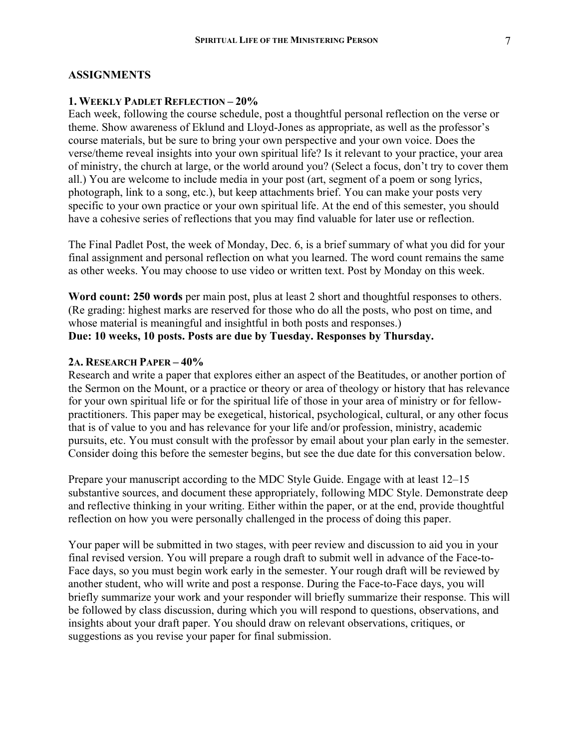#### **ASSIGNMENTS**

## **1. WEEKLY PADLET REFLECTION – 20%**

Each week, following the course schedule, post a thoughtful personal reflection on the verse or theme. Show awareness of Eklund and Lloyd-Jones as appropriate, as well as the professor's course materials, but be sure to bring your own perspective and your own voice. Does the verse/theme reveal insights into your own spiritual life? Is it relevant to your practice, your area of ministry, the church at large, or the world around you? (Select a focus, don't try to cover them all.) You are welcome to include media in your post (art, segment of a poem or song lyrics, photograph, link to a song, etc.), but keep attachments brief. You can make your posts very specific to your own practice or your own spiritual life. At the end of this semester, you should have a cohesive series of reflections that you may find valuable for later use or reflection.

The Final Padlet Post, the week of Monday, Dec. 6, is a brief summary of what you did for your final assignment and personal reflection on what you learned. The word count remains the same as other weeks. You may choose to use video or written text. Post by Monday on this week.

**Word count: 250 words** per main post, plus at least 2 short and thoughtful responses to others. (Re grading: highest marks are reserved for those who do all the posts, who post on time, and whose material is meaningful and insightful in both posts and responses.) **Due: 10 weeks, 10 posts. Posts are due by Tuesday. Responses by Thursday.** 

#### **2A. RESEARCH PAPER – 40%**

Research and write a paper that explores either an aspect of the Beatitudes, or another portion of the Sermon on the Mount, or a practice or theory or area of theology or history that has relevance for your own spiritual life or for the spiritual life of those in your area of ministry or for fellowpractitioners. This paper may be exegetical, historical, psychological, cultural, or any other focus that is of value to you and has relevance for your life and/or profession, ministry, academic pursuits, etc. You must consult with the professor by email about your plan early in the semester. Consider doing this before the semester begins, but see the due date for this conversation below.

Prepare your manuscript according to the MDC Style Guide. Engage with at least 12–15 substantive sources, and document these appropriately, following MDC Style. Demonstrate deep and reflective thinking in your writing. Either within the paper, or at the end, provide thoughtful reflection on how you were personally challenged in the process of doing this paper.

Your paper will be submitted in two stages, with peer review and discussion to aid you in your final revised version. You will prepare a rough draft to submit well in advance of the Face-to-Face days, so you must begin work early in the semester. Your rough draft will be reviewed by another student, who will write and post a response. During the Face-to-Face days, you will briefly summarize your work and your responder will briefly summarize their response. This will be followed by class discussion, during which you will respond to questions, observations, and insights about your draft paper. You should draw on relevant observations, critiques, or suggestions as you revise your paper for final submission.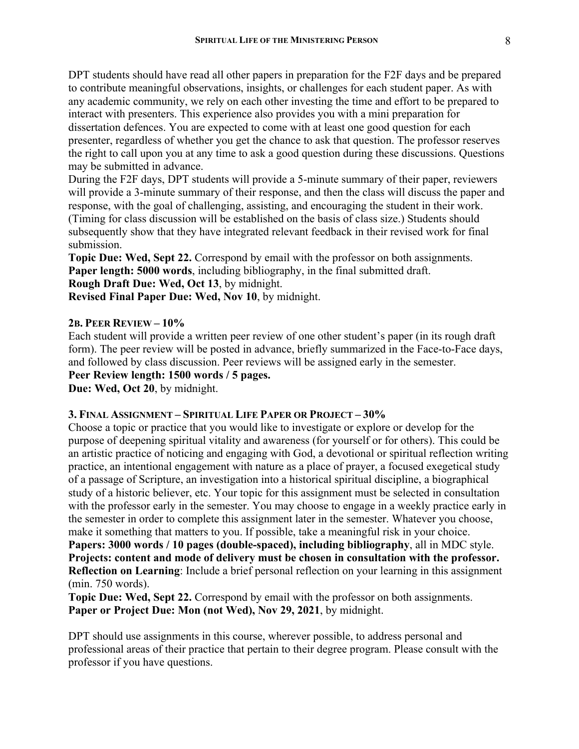DPT students should have read all other papers in preparation for the F2F days and be prepared to contribute meaningful observations, insights, or challenges for each student paper. As with any academic community, we rely on each other investing the time and effort to be prepared to interact with presenters. This experience also provides you with a mini preparation for dissertation defences. You are expected to come with at least one good question for each presenter, regardless of whether you get the chance to ask that question. The professor reserves the right to call upon you at any time to ask a good question during these discussions. Questions may be submitted in advance.

During the F2F days, DPT students will provide a 5-minute summary of their paper, reviewers will provide a 3-minute summary of their response, and then the class will discuss the paper and response, with the goal of challenging, assisting, and encouraging the student in their work. (Timing for class discussion will be established on the basis of class size.) Students should subsequently show that they have integrated relevant feedback in their revised work for final submission.

**Topic Due: Wed, Sept 22.** Correspond by email with the professor on both assignments. **Paper length: 5000 words**, including bibliography, in the final submitted draft. **Rough Draft Due: Wed, Oct 13**, by midnight.

**Revised Final Paper Due: Wed, Nov 10**, by midnight.

#### **2B. PEER REVIEW – 10%**

Each student will provide a written peer review of one other student's paper (in its rough draft form). The peer review will be posted in advance, briefly summarized in the Face-to-Face days, and followed by class discussion. Peer reviews will be assigned early in the semester.

**Peer Review length: 1500 words / 5 pages.** 

**Due: Wed, Oct 20**, by midnight.

#### **3. FINAL ASSIGNMENT – SPIRITUAL LIFE PAPER OR PROJECT – 30%**

Choose a topic or practice that you would like to investigate or explore or develop for the purpose of deepening spiritual vitality and awareness (for yourself or for others). This could be an artistic practice of noticing and engaging with God, a devotional or spiritual reflection writing practice, an intentional engagement with nature as a place of prayer, a focused exegetical study of a passage of Scripture, an investigation into a historical spiritual discipline, a biographical study of a historic believer, etc. Your topic for this assignment must be selected in consultation with the professor early in the semester. You may choose to engage in a weekly practice early in the semester in order to complete this assignment later in the semester. Whatever you choose, make it something that matters to you. If possible, take a meaningful risk in your choice. **Papers: 3000 words / 10 pages (double-spaced), including bibliography**, all in MDC style. **Projects: content and mode of delivery must be chosen in consultation with the professor. Reflection on Learning**: Include a brief personal reflection on your learning in this assignment

(min. 750 words).

**Topic Due: Wed, Sept 22.** Correspond by email with the professor on both assignments. **Paper or Project Due: Mon (not Wed), Nov 29, 2021**, by midnight.

DPT should use assignments in this course, wherever possible, to address personal and professional areas of their practice that pertain to their degree program. Please consult with the professor if you have questions.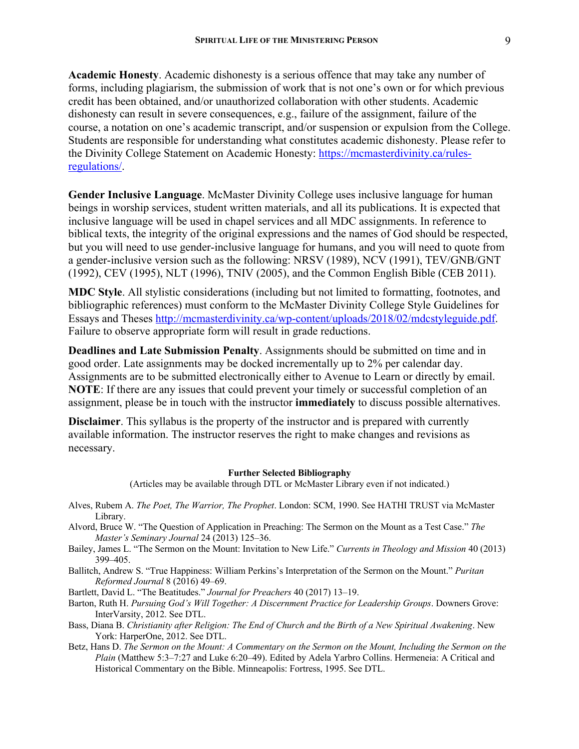**Academic Honesty**. Academic dishonesty is a serious offence that may take any number of forms, including plagiarism, the submission of work that is not one's own or for which previous credit has been obtained, and/or unauthorized collaboration with other students. Academic dishonesty can result in severe consequences, e.g., failure of the assignment, failure of the course, a notation on one's academic transcript, and/or suspension or expulsion from the College. Students are responsible for understanding what constitutes academic dishonesty. Please refer to the Divinity College Statement on Academic Honesty: https://mcmasterdivinity.ca/rulesregulations/.

**Gender Inclusive Language**. McMaster Divinity College uses inclusive language for human beings in worship services, student written materials, and all its publications. It is expected that inclusive language will be used in chapel services and all MDC assignments. In reference to biblical texts, the integrity of the original expressions and the names of God should be respected, but you will need to use gender-inclusive language for humans, and you will need to quote from a gender-inclusive version such as the following: NRSV (1989), NCV (1991), TEV/GNB/GNT (1992), CEV (1995), NLT (1996), TNIV (2005), and the Common English Bible (CEB 2011).

**MDC Style**. All stylistic considerations (including but not limited to formatting, footnotes, and bibliographic references) must conform to the McMaster Divinity College Style Guidelines for Essays and Theses http://mcmasterdivinity.ca/wp-content/uploads/2018/02/mdcstyleguide.pdf. Failure to observe appropriate form will result in grade reductions.

**Deadlines and Late Submission Penalty**. Assignments should be submitted on time and in good order. Late assignments may be docked incrementally up to 2% per calendar day. Assignments are to be submitted electronically either to Avenue to Learn or directly by email. **NOTE**: If there are any issues that could prevent your timely or successful completion of an assignment, please be in touch with the instructor **immediately** to discuss possible alternatives.

**Disclaimer**. This syllabus is the property of the instructor and is prepared with currently available information. The instructor reserves the right to make changes and revisions as necessary.

#### **Further Selected Bibliography**

(Articles may be available through DTL or McMaster Library even if not indicated.)

- Alves, Rubem A. *The Poet, The Warrior, The Prophet*. London: SCM, 1990. See HATHI TRUST via McMaster Library.
- Alvord, Bruce W. "The Question of Application in Preaching: The Sermon on the Mount as a Test Case." *The Master's Seminary Journal* 24 (2013) 125–36.
- Bailey, James L. "The Sermon on the Mount: Invitation to New Life." *Currents in Theology and Mission* 40 (2013) 399–405.
- Ballitch, Andrew S. "True Happiness: William Perkins's Interpretation of the Sermon on the Mount." *Puritan Reformed Journal* 8 (2016) 49–69.

Bartlett, David L. "The Beatitudes." *Journal for Preachers* 40 (2017) 13–19.

- Barton, Ruth H. *Pursuing God's Will Together: A Discernment Practice for Leadership Groups*. Downers Grove: InterVarsity, 2012. See DTL.
- Bass, Diana B. *Christianity after Religion: The End of Church and the Birth of a New Spiritual Awakening*. New York: HarperOne, 2012. See DTL.
- Betz, Hans D. *The Sermon on the Mount: A Commentary on the Sermon on the Mount, Including the Sermon on the Plain* (Matthew 5:3–7:27 and Luke 6:20–49). Edited by Adela Yarbro Collins. Hermeneia: A Critical and Historical Commentary on the Bible. Minneapolis: Fortress, 1995. See DTL.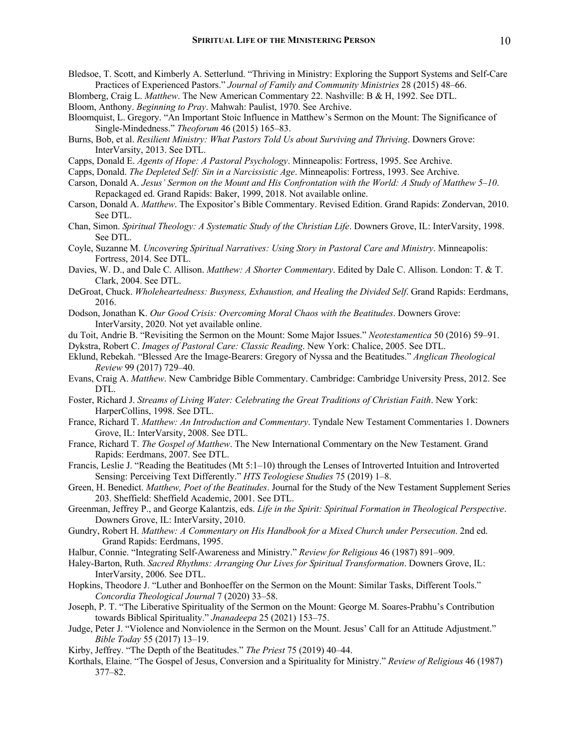- Bledsoe, T. Scott, and Kimberly A. Setterlund. "Thriving in Ministry: Exploring the Support Systems and Self-Care Practices of Experienced Pastors." *Journal of Family and Community Ministries* 28 (2015) 48–66.
- Blomberg, Craig L. *Matthew*. The New American Commentary 22. Nashville: B & H, 1992. See DTL. Bloom, Anthony. *Beginning to Pray*. Mahwah: Paulist, 1970. See Archive.
- Bloomquist, L. Gregory. "An Important Stoic Influence in Matthew's Sermon on the Mount: The Significance of Single-Mindedness." *Theoforum* 46 (2015) 165–83.
- Burns, Bob, et al. *Resilient Ministry: What Pastors Told Us about Surviving and Thriving*. Downers Grove: InterVarsity, 2013. See DTL.
- Capps, Donald E. *Agents of Hope: A Pastoral Psychology*. Minneapolis: Fortress, 1995. See Archive.
- Capps, Donald. *The Depleted Self: Sin in a Narcissistic Age*. Minneapolis: Fortress, 1993. See Archive.
- Carson, Donald A. *Jesus' Sermon on the Mount and His Confrontation with the World: A Study of Matthew 5–10*. Repackaged ed. Grand Rapids: Baker, 1999, 2018. Not available online.
- Carson, Donald A. *Matthew*. The Expositor's Bible Commentary. Revised Edition. Grand Rapids: Zondervan, 2010. See DTL.
- Chan, Simon. *Spiritual Theology: A Systematic Study of the Christian Life*. Downers Grove, IL: InterVarsity, 1998. See DTL.
- Coyle, Suzanne M. *Uncovering Spiritual Narratives: Using Story in Pastoral Care and Ministry*. Minneapolis: Fortress, 2014. See DTL.
- Davies, W. D., and Dale C. Allison. *Matthew: A Shorter Commentary*. Edited by Dale C. Allison. London: T. & T. Clark, 2004. See DTL.
- DeGroat, Chuck. *Wholeheartedness: Busyness, Exhaustion, and Healing the Divided Self*. Grand Rapids: Eerdmans, 2016.
- Dodson, Jonathan K. *Our Good Crisis: Overcoming Moral Chaos with the Beatitudes*. Downers Grove: InterVarsity, 2020. Not yet available online.
- du Toit, Andrie B. "Revisiting the Sermon on the Mount: Some Major Issues." *Neotestamentica* 50 (2016) 59–91.
- Dykstra, Robert C. *Images of Pastoral Care: Classic Reading*. New York: Chalice, 2005. See DTL.
- Eklund, Rebekah. "Blessed Are the Image-Bearers: Gregory of Nyssa and the Beatitudes." *Anglican Theological Review* 99 (2017) 729–40.
- Evans, Craig A. *Matthew*. New Cambridge Bible Commentary. Cambridge: Cambridge University Press, 2012. See DTL.
- Foster, Richard J. *Streams of Living Water: Celebrating the Great Traditions of Christian Faith*. New York: HarperCollins, 1998. See DTL.
- France, Richard T. *Matthew: An Introduction and Commentary*. Tyndale New Testament Commentaries 1. Downers Grove, IL: InterVarsity, 2008. See DTL.
- France, Richard T. *The Gospel of Matthew*. The New International Commentary on the New Testament. Grand Rapids: Eerdmans, 2007. See DTL.
- Francis, Leslie J. "Reading the Beatitudes (Mt 5:1–10) through the Lenses of Introverted Intuition and Introverted Sensing: Perceiving Text Differently." *HTS Teologiese Studies* 75 (2019) 1–8.
- Green, H. Benedict. *Matthew, Poet of the Beatitudes*. Journal for the Study of the New Testament Supplement Series 203. Sheffield: Sheffield Academic, 2001. See DTL.
- Greenman, Jeffrey P., and George Kalantzis, eds. *Life in the Spirit: Spiritual Formation in Theological Perspective*. Downers Grove, IL: InterVarsity, 2010.
- Gundry, Robert H. *Matthew: A Commentary on His Handbook for a Mixed Church under Persecution*. 2nd ed. Grand Rapids: Eerdmans, 1995.
- Halbur, Connie. "Integrating Self-Awareness and Ministry." *Review for Religious* 46 (1987) 891–909.
- Haley-Barton, Ruth. *Sacred Rhythms: Arranging Our Lives for Spiritual Transformation*. Downers Grove, IL: InterVarsity, 2006. See DTL.
- Hopkins, Theodore J. "Luther and Bonhoeffer on the Sermon on the Mount: Similar Tasks, Different Tools." *Concordia Theological Journal* 7 (2020) 33–58.
- Joseph, P. T. "The Liberative Spirituality of the Sermon on the Mount: George M. Soares-Prabhu's Contribution towards Biblical Spirituality." *Jnanadeepa* 25 (2021) 153–75.
- Judge, Peter J. "Violence and Nonviolence in the Sermon on the Mount. Jesus' Call for an Attitude Adjustment." *Bible Today* 55 (2017) 13–19.
- Kirby, Jeffrey. "The Depth of the Beatitudes." *The Priest* 75 (2019) 40–44.
- Korthals, Elaine. "The Gospel of Jesus, Conversion and a Spirituality for Ministry." *Review of Religious* 46 (1987) 377–82.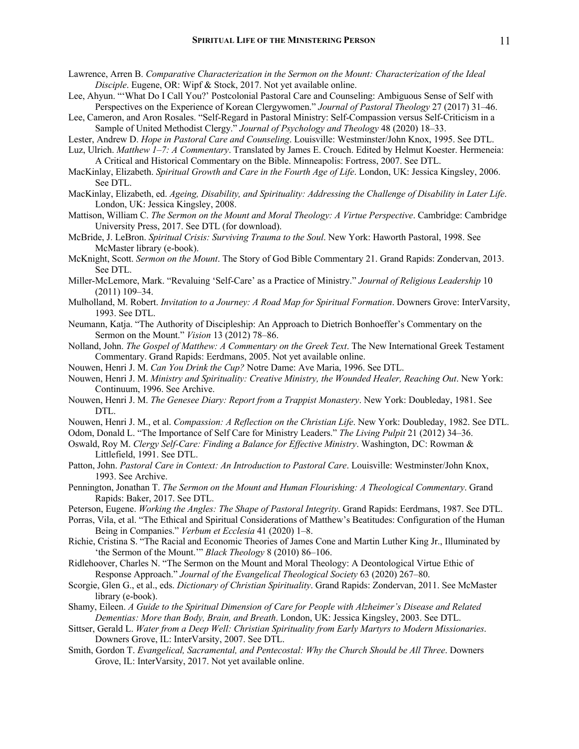- Lawrence, Arren B. *Comparative Characterization in the Sermon on the Mount: Characterization of the Ideal Disciple*. Eugene, OR: Wipf & Stock, 2017. Not yet available online.
- Lee, Ahyun. "'What Do I Call You?' Postcolonial Pastoral Care and Counseling: Ambiguous Sense of Self with Perspectives on the Experience of Korean Clergywomen." *Journal of Pastoral Theology* 27 (2017) 31–46.
- Lee, Cameron, and Aron Rosales. "Self-Regard in Pastoral Ministry: Self-Compassion versus Self-Criticism in a Sample of United Methodist Clergy." *Journal of Psychology and Theology* 48 (2020) 18–33.
- Lester, Andrew D. *Hope in Pastoral Care and Counseling*. Louisville: Westminster/John Knox, 1995. See DTL.
- Luz, Ulrich. *Matthew 1–7: A Commentary*. Translated by James E. Crouch. Edited by Helmut Koester. Hermeneia: A Critical and Historical Commentary on the Bible. Minneapolis: Fortress, 2007. See DTL.
- MacKinlay, Elizabeth. *Spiritual Growth and Care in the Fourth Age of Life*. London, UK: Jessica Kingsley, 2006. See DTL.
- MacKinlay, Elizabeth, ed. *Ageing, Disability, and Spirituality: Addressing the Challenge of Disability in Later Life*. London, UK: Jessica Kingsley, 2008.
- Mattison, William C. *The Sermon on the Mount and Moral Theology: A Virtue Perspective*. Cambridge: Cambridge University Press, 2017. See DTL (for download).
- McBride, J. LeBron. *Spiritual Crisis: Surviving Trauma to the Soul*. New York: Haworth Pastoral, 1998. See McMaster library (e-book).
- McKnight, Scott. *Sermon on the Mount*. The Story of God Bible Commentary 21. Grand Rapids: Zondervan, 2013. See DTL.
- Miller-McLemore, Mark. "Revaluing 'Self-Care' as a Practice of Ministry." *Journal of Religious Leadership* 10 (2011) 109–34.
- Mulholland, M. Robert. *Invitation to a Journey: A Road Map for Spiritual Formation*. Downers Grove: InterVarsity, 1993. See DTL.
- Neumann, Katja. "The Authority of Discipleship: An Approach to Dietrich Bonhoeffer's Commentary on the Sermon on the Mount." *Vision* 13 (2012) 78–86.
- Nolland, John. *The Gospel of Matthew: A Commentary on the Greek Text*. The New International Greek Testament Commentary. Grand Rapids: Eerdmans, 2005. Not yet available online.
- Nouwen, Henri J. M. *Can You Drink the Cup?* Notre Dame: Ave Maria, 1996. See DTL.
- Nouwen, Henri J. M. *Ministry and Spirituality: Creative Ministry, the Wounded Healer, Reaching Out*. New York: Continuum, 1996. See Archive.
- Nouwen, Henri J. M. *The Genesee Diary: Report from a Trappist Monastery*. New York: Doubleday, 1981. See DTL.
- Nouwen, Henri J. M., et al. *Compassion: A Reflection on the Christian Life*. New York: Doubleday, 1982. See DTL.
- Odom, Donald L. "The Importance of Self Care for Ministry Leaders." *The Living Pulpit* 21 (2012) 34–36.
- Oswald, Roy M. *Clergy Self-Care: Finding a Balance for Effective Ministry*. Washington, DC: Rowman & Littlefield, 1991. See DTL.
- Patton, John. *Pastoral Care in Context: An Introduction to Pastoral Care*. Louisville: Westminster/John Knox, 1993. See Archive.
- Pennington, Jonathan T. *The Sermon on the Mount and Human Flourishing: A Theological Commentary*. Grand Rapids: Baker, 2017. See DTL.

Peterson, Eugene. *Working the Angles: The Shape of Pastoral Integrity*. Grand Rapids: Eerdmans, 1987. See DTL.

- Porras, Vila, et al. "The Ethical and Spiritual Considerations of Matthew's Beatitudes: Configuration of the Human Being in Companies." *Verbum et Ecclesia* 41 (2020) 1–8.
- Richie, Cristina S. "The Racial and Economic Theories of James Cone and Martin Luther King Jr., Illuminated by 'the Sermon of the Mount.'" *Black Theology* 8 (2010) 86–106.
- Ridlehoover, Charles N. "The Sermon on the Mount and Moral Theology: A Deontological Virtue Ethic of Response Approach." *Journal of the Evangelical Theological Society* 63 (2020) 267–80.
- Scorgie, Glen G., et al., eds. *Dictionary of Christian Spirituality*. Grand Rapids: Zondervan, 2011. See McMaster library (e-book).
- Shamy, Eileen. *A Guide to the Spiritual Dimension of Care for People with Alzheimer's Disease and Related Dementias: More than Body, Brain, and Breath*. London, UK: Jessica Kingsley, 2003. See DTL.
- Sittser, Gerald L. *Water from a Deep Well: Christian Spirituality from Early Martyrs to Modern Missionaries*. Downers Grove, IL: InterVarsity, 2007. See DTL.
- Smith, Gordon T. *Evangelical, Sacramental, and Pentecostal: Why the Church Should be All Three*. Downers Grove, IL: InterVarsity, 2017. Not yet available online.